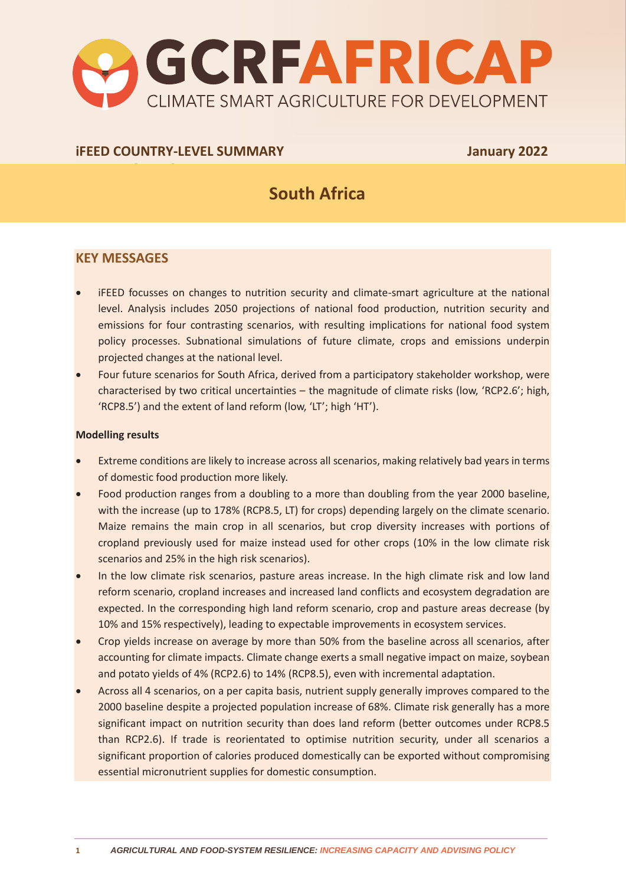

### **iFEED COUNTRY-LEVEL SUMMARY January 2022**

# **South Africa**

## **KEY MESSAGES**

- iFEED focusses on changes to nutrition security and climate-smart agriculture at the national level. Analysis includes 2050 projections of national food production, nutrition security and emissions for four contrasting scenarios, with resulting implications for national food system policy processes. Subnational simulations of future climate, crops and emissions underpin projected changes at the national level.
- Four future scenarios for South Africa, derived from a participatory stakeholder workshop, were characterised by two critical uncertainties – the magnitude of climate risks (low, 'RCP2.6'; high, 'RCP8.5') and the extent of land reform (low, 'LT'; high 'HT').

#### **Modelling results**

- Extreme conditions are likely to increase across all scenarios, making relatively bad years in terms of domestic food production more likely.
- Food production ranges from a doubling to a more than doubling from the year 2000 baseline, with the increase (up to 178% (RCP8.5, LT) for crops) depending largely on the climate scenario. Maize remains the main crop in all scenarios, but crop diversity increases with portions of cropland previously used for maize instead used for other crops (10% in the low climate risk scenarios and 25% in the high risk scenarios).
- In the low climate risk scenarios, pasture areas increase. In the high climate risk and low land reform scenario, cropland increases and increased land conflicts and ecosystem degradation are expected. In the corresponding high land reform scenario, crop and pasture areas decrease (by 10% and 15% respectively), leading to expectable improvements in ecosystem services.
- Crop yields increase on average by more than 50% from the baseline across all scenarios, after accounting for climate impacts. Climate change exerts a small negative impact on maize, soybean and potato yields of 4% (RCP2.6) to 14% (RCP8.5), even with incremental adaptation.
- Across all 4 scenarios, on a per capita basis, nutrient supply generally improves compared to the 2000 baseline despite a projected population increase of 68%. Climate risk generally has a more significant impact on nutrition security than does land reform (better outcomes under RCP8.5 than RCP2.6). If trade is reorientated to optimise nutrition security, under all scenarios a significant proportion of calories produced domestically can be exported without compromising essential micronutrient supplies for domestic consumption.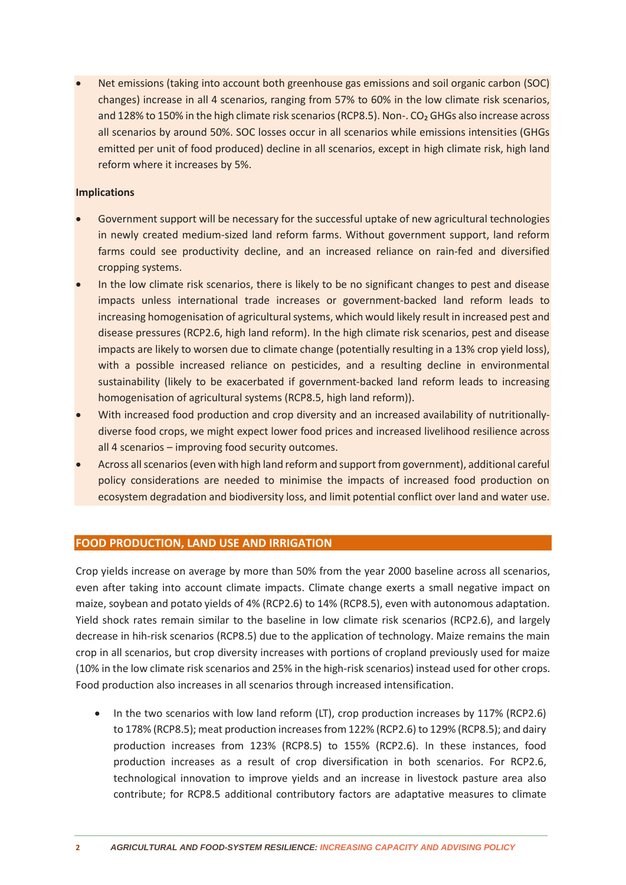• Net emissions (taking into account both greenhouse gas emissions and soil organic carbon (SOC) changes) increase in all 4 scenarios, ranging from 57% to 60% in the low climate risk scenarios, and 128% to 150% in the high climate risk scenarios (RCP8.5). Non-. CO<sub>2</sub> GHGs also increase across all scenarios by around 50%. SOC losses occur in all scenarios while emissions intensities (GHGs emitted per unit of food produced) decline in all scenarios, except in high climate risk, high land reform where it increases by 5%.

#### **Implications**

- Government support will be necessary for the successful uptake of new agricultural technologies in newly created medium-sized land reform farms. Without government support, land reform farms could see productivity decline, and an increased reliance on rain-fed and diversified cropping systems.
- In the low climate risk scenarios, there is likely to be no significant changes to pest and disease impacts unless international trade increases or government-backed land reform leads to increasing homogenisation of agricultural systems, which would likely result in increased pest and disease pressures (RCP2.6, high land reform). In the high climate risk scenarios, pest and disease impacts are likely to worsen due to climate change (potentially resulting in a 13% crop yield loss), with a possible increased reliance on pesticides, and a resulting decline in environmental sustainability (likely to be exacerbated if government-backed land reform leads to increasing homogenisation of agricultural systems (RCP8.5, high land reform)).
- With increased food production and crop diversity and an increased availability of nutritionallydiverse food crops, we might expect lower food prices and increased livelihood resilience across all 4 scenarios – improving food security outcomes.
- Across all scenarios (even with high land reform and support from government), additional careful policy considerations are needed to minimise the impacts of increased food production on ecosystem degradation and biodiversity loss, and limit potential conflict over land and water use.

#### **FOOD PRODUCTION, LAND USE AND IRRIGATION**

Crop yields increase on average by more than 50% from the year 2000 baseline across all scenarios, even after taking into account climate impacts. Climate change exerts a small negative impact on maize, soybean and potato yields of 4% (RCP2.6) to 14% (RCP8.5), even with autonomous adaptation. Yield shock rates remain similar to the baseline in low climate risk scenarios (RCP2.6), and largely decrease in hih-risk scenarios (RCP8.5) due to the application of technology. Maize remains the main crop in all scenarios, but crop diversity increases with portions of cropland previously used for maize (10% in the low climate risk scenarios and 25% in the high-risk scenarios) instead used for other crops. Food production also increases in all scenarios through increased intensification.

• In the two scenarios with low land reform (LT), crop production increases by 117% (RCP2.6) to 178% (RCP8.5); meat production increases from 122% (RCP2.6) to 129% (RCP8.5); and dairy production increases from 123% (RCP8.5) to 155% (RCP2.6). In these instances, food production increases as a result of crop diversification in both scenarios. For RCP2.6, technological innovation to improve yields and an increase in livestock pasture area also contribute; for RCP8.5 additional contributory factors are adaptative measures to climate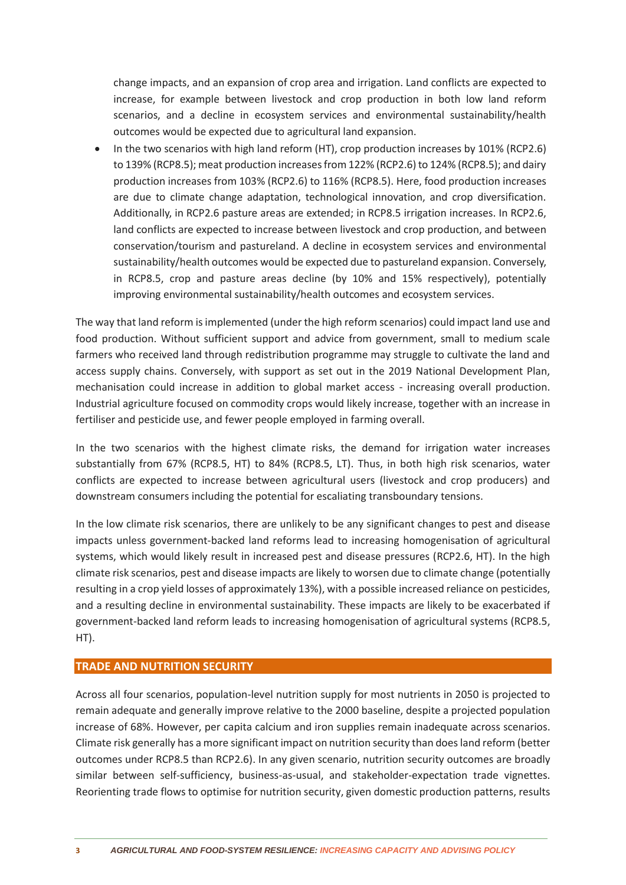change impacts, and an expansion of crop area and irrigation. Land conflicts are expected to increase, for example between livestock and crop production in both low land reform scenarios, and a decline in ecosystem services and environmental sustainability/health outcomes would be expected due to agricultural land expansion.

• In the two scenarios with high land reform (HT), crop production increases by 101% (RCP2.6) to 139% (RCP8.5); meat production increases from 122% (RCP2.6) to 124% (RCP8.5); and dairy production increases from 103% (RCP2.6) to 116% (RCP8.5). Here, food production increases are due to climate change adaptation, technological innovation, and crop diversification. Additionally, in RCP2.6 pasture areas are extended; in RCP8.5 irrigation increases. In RCP2.6, land conflicts are expected to increase between livestock and crop production, and between conservation/tourism and pastureland. A decline in ecosystem services and environmental sustainability/health outcomes would be expected due to pastureland expansion. Conversely, in RCP8.5, crop and pasture areas decline (by 10% and 15% respectively), potentially improving environmental sustainability/health outcomes and ecosystem services.

The way that land reform is implemented (under the high reform scenarios) could impact land use and food production. Without sufficient support and advice from government, small to medium scale farmers who received land through redistribution programme may struggle to cultivate the land and access supply chains. Conversely, with support as set out in the 2019 National Development Plan, mechanisation could increase in addition to global market access - increasing overall production. Industrial agriculture focused on commodity crops would likely increase, together with an increase in fertiliser and pesticide use, and fewer people employed in farming overall.

In the two scenarios with the highest climate risks, the demand for irrigation water increases substantially from 67% (RCP8.5, HT) to 84% (RCP8.5, LT). Thus, in both high risk scenarios, water conflicts are expected to increase between agricultural users (livestock and crop producers) and downstream consumers including the potential for escaliating transboundary tensions.

In the low climate risk scenarios, there are unlikely to be any significant changes to pest and disease impacts unless government-backed land reforms lead to increasing homogenisation of agricultural systems, which would likely result in increased pest and disease pressures (RCP2.6, HT). In the high climate risk scenarios, pest and disease impacts are likely to worsen due to climate change (potentially resulting in a crop yield losses of approximately 13%), with a possible increased reliance on pesticides, and a resulting decline in environmental sustainability. These impacts are likely to be exacerbated if government-backed land reform leads to increasing homogenisation of agricultural systems (RCP8.5, HT).

#### **TRADE AND NUTRITION SECURITY**

Across all four scenarios, population-level nutrition supply for most nutrients in 2050 is projected to remain adequate and generally improve relative to the 2000 baseline, despite a projected population increase of 68%. However, per capita calcium and iron supplies remain inadequate across scenarios. Climate risk generally has a more significant impact on nutrition security than does land reform (better outcomes under RCP8.5 than RCP2.6). In any given scenario, nutrition security outcomes are broadly similar between self-sufficiency, business-as-usual, and stakeholder-expectation trade vignettes. Reorienting trade flows to optimise for nutrition security, given domestic production patterns, results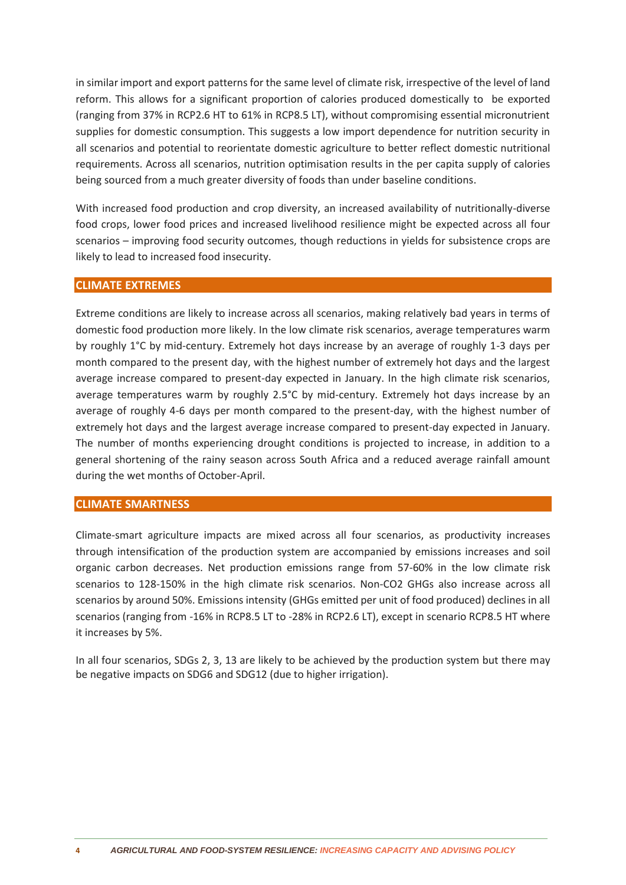in similar import and export patterns for the same level of climate risk, irrespective of the level of land reform. This allows for a significant proportion of calories produced domestically to be exported (ranging from 37% in RCP2.6 HT to 61% in RCP8.5 LT), without compromising essential micronutrient supplies for domestic consumption. This suggests a low import dependence for nutrition security in all scenarios and potential to reorientate domestic agriculture to better reflect domestic nutritional requirements. Across all scenarios, nutrition optimisation results in the per capita supply of calories being sourced from a much greater diversity of foods than under baseline conditions.

With increased food production and crop diversity, an increased availability of nutritionally-diverse food crops, lower food prices and increased livelihood resilience might be expected across all four scenarios – improving food security outcomes, though reductions in yields for subsistence crops are likely to lead to increased food insecurity.

#### **CLIMATE EXTREMES**

Extreme conditions are likely to increase across all scenarios, making relatively bad years in terms of domestic food production more likely. In the low climate risk scenarios, average temperatures warm by roughly 1°C by mid-century. Extremely hot days increase by an average of roughly 1-3 days per month compared to the present day, with the highest number of extremely hot days and the largest average increase compared to present-day expected in January. In the high climate risk scenarios, average temperatures warm by roughly 2.5°C by mid-century. Extremely hot days increase by an average of roughly 4-6 days per month compared to the present-day, with the highest number of extremely hot days and the largest average increase compared to present-day expected in January. The number of months experiencing drought conditions is projected to increase, in addition to a general shortening of the rainy season across South Africa and a reduced average rainfall amount during the wet months of October-April.

#### **CLIMATE SMARTNESS**

Climate-smart agriculture impacts are mixed across all four scenarios, as productivity increases through intensification of the production system are accompanied by emissions increases and soil organic carbon decreases. Net production emissions range from 57-60% in the low climate risk scenarios to 128-150% in the high climate risk scenarios. Non-CO2 GHGs also increase across all scenarios by around 50%. Emissions intensity (GHGs emitted per unit of food produced) declines in all scenarios (ranging from -16% in RCP8.5 LT to -28% in RCP2.6 LT), except in scenario RCP8.5 HT where it increases by 5%.

In all four scenarios, SDGs 2, 3, 13 are likely to be achieved by the production system but there may be negative impacts on SDG6 and SDG12 (due to higher irrigation).